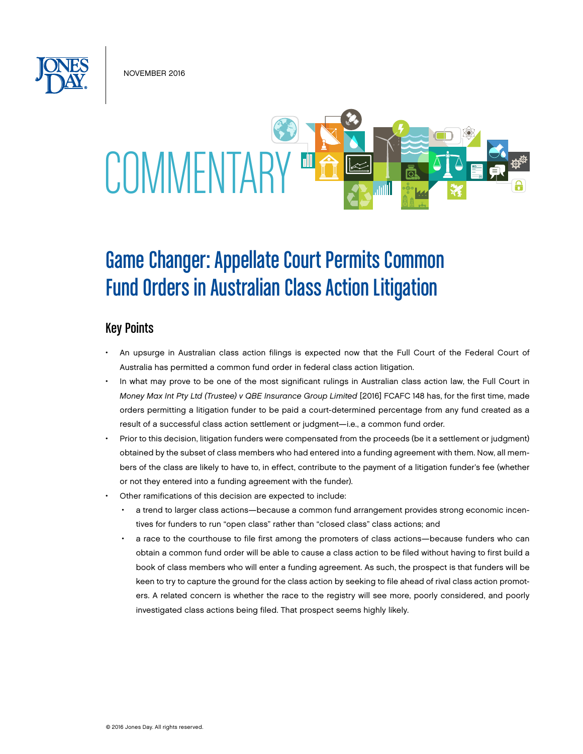November 2016



# Game Changer: Appellate Court Permits Common Fund Orders in Australian Class Action Litigation

## Key Points

- An upsurge in Australian class action filings is expected now that the Full Court of the Federal Court of Australia has permitted a common fund order in federal class action litigation.
- In what may prove to be one of the most significant rulings in Australian class action law, the Full Court in *Money Max Int Pty Ltd (Trustee) v QBE Insurance Group Limited* [2016] FCAFC 148 has, for the first time, made orders permitting a litigation funder to be paid a court-determined percentage from any fund created as a result of a successful class action settlement or judgment—i.e., a common fund order.
- Prior to this decision, litigation funders were compensated from the proceeds (be it a settlement or judgment) obtained by the subset of class members who had entered into a funding agreement with them. Now, all members of the class are likely to have to, in effect, contribute to the payment of a litigation funder's fee (whether or not they entered into a funding agreement with the funder).
- Other ramifications of this decision are expected to include:
	- a trend to larger class actions—because a common fund arrangement provides strong economic incentives for funders to run "open class" rather than "closed class" class actions; and
	- a race to the courthouse to file first among the promoters of class actions—because funders who can obtain a common fund order will be able to cause a class action to be filed without having to first build a book of class members who will enter a funding agreement. As such, the prospect is that funders will be keen to try to capture the ground for the class action by seeking to file ahead of rival class action promoters. A related concern is whether the race to the registry will see more, poorly considered, and poorly investigated class actions being filed. That prospect seems highly likely.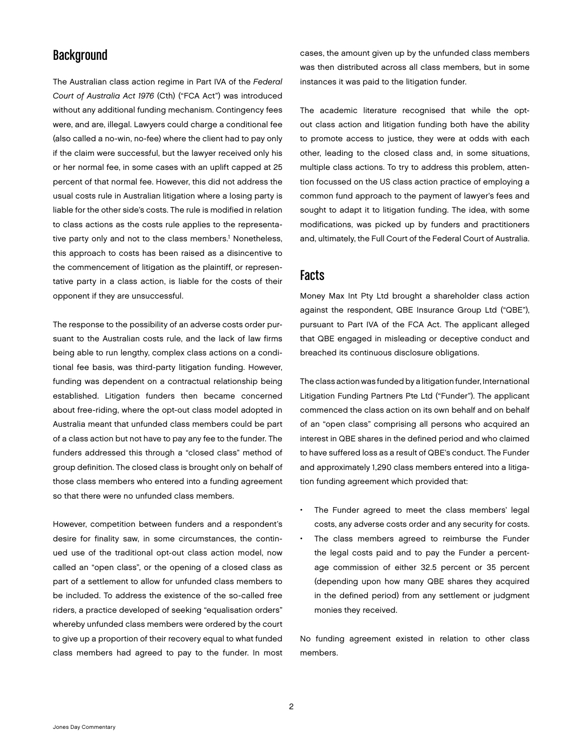#### **Background**

The Australian class action regime in Part IVA of the *Federal Court of Australia Act 1976* (Cth) ("FCA Act") was introduced without any additional funding mechanism. Contingency fees were, and are, illegal. Lawyers could charge a conditional fee (also called a no-win, no-fee) where the client had to pay only if the claim were successful, but the lawyer received only his or her normal fee, in some cases with an uplift capped at 25 percent of that normal fee. However, this did not address the usual costs rule in Australian litigation where a losing party is liable for the other side's costs. The rule is modified in relation to class actions as the costs rule applies to the representative party only and not to the class members.<sup>1</sup> Nonetheless, this approach to costs has been raised as a disincentive to the commencement of litigation as the plaintiff, or representative party in a class action, is liable for the costs of their opponent if they are unsuccessful.

The response to the possibility of an adverse costs order pursuant to the Australian costs rule, and the lack of law firms being able to run lengthy, complex class actions on a conditional fee basis, was third-party litigation funding. However, funding was dependent on a contractual relationship being established. Litigation funders then became concerned about free-riding, where the opt-out class model adopted in Australia meant that unfunded class members could be part of a class action but not have to pay any fee to the funder. The funders addressed this through a "closed class" method of group definition. The closed class is brought only on behalf of those class members who entered into a funding agreement so that there were no unfunded class members.

However, competition between funders and a respondent's desire for finality saw, in some circumstances, the continued use of the traditional opt-out class action model, now called an "open class", or the opening of a closed class as part of a settlement to allow for unfunded class members to be included. To address the existence of the so-called free riders, a practice developed of seeking "equalisation orders" whereby unfunded class members were ordered by the court to give up a proportion of their recovery equal to what funded class members had agreed to pay to the funder. In most

cases, the amount given up by the unfunded class members was then distributed across all class members, but in some instances it was paid to the litigation funder.

The academic literature recognised that while the optout class action and litigation funding both have the ability to promote access to justice, they were at odds with each other, leading to the closed class and, in some situations, multiple class actions. To try to address this problem, attention focussed on the US class action practice of employing a common fund approach to the payment of lawyer's fees and sought to adapt it to litigation funding. The idea, with some modifications, was picked up by funders and practitioners and, ultimately, the Full Court of the Federal Court of Australia.

#### Facts

Money Max Int Pty Ltd brought a shareholder class action against the respondent, QBE Insurance Group Ltd ("QBE"), pursuant to Part IVA of the FCA Act. The applicant alleged that QBE engaged in misleading or deceptive conduct and breached its continuous disclosure obligations.

The class action was funded by a litigation funder, International Litigation Funding Partners Pte Ltd ("Funder"). The applicant commenced the class action on its own behalf and on behalf of an "open class" comprising all persons who acquired an interest in QBE shares in the defined period and who claimed to have suffered loss as a result of QBE's conduct. The Funder and approximately 1,290 class members entered into a litigation funding agreement which provided that:

- The Funder agreed to meet the class members' legal costs, any adverse costs order and any security for costs.
- The class members agreed to reimburse the Funder the legal costs paid and to pay the Funder a percentage commission of either 32.5 percent or 35 percent (depending upon how many QBE shares they acquired in the defined period) from any settlement or judgment monies they received.

No funding agreement existed in relation to other class members.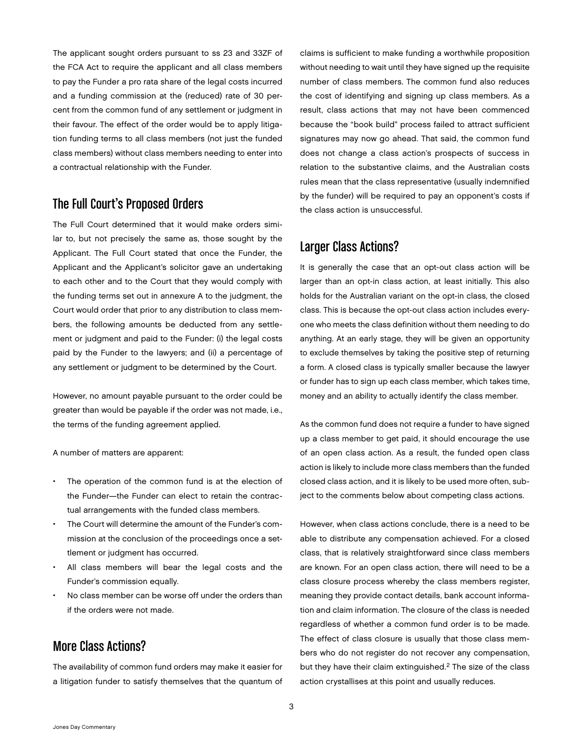The applicant sought orders pursuant to ss 23 and 33ZF of the FCA Act to require the applicant and all class members to pay the Funder a pro rata share of the legal costs incurred and a funding commission at the (reduced) rate of 30 percent from the common fund of any settlement or judgment in their favour. The effect of the order would be to apply litigation funding terms to all class members (not just the funded class members) without class members needing to enter into a contractual relationship with the Funder.

#### The Full Court's Proposed Orders

The Full Court determined that it would make orders similar to, but not precisely the same as, those sought by the Applicant. The Full Court stated that once the Funder, the Applicant and the Applicant's solicitor gave an undertaking to each other and to the Court that they would comply with the funding terms set out in annexure A to the judgment, the Court would order that prior to any distribution to class members, the following amounts be deducted from any settlement or judgment and paid to the Funder: (i) the legal costs paid by the Funder to the lawyers; and (ii) a percentage of any settlement or judgment to be determined by the Court.

However, no amount payable pursuant to the order could be greater than would be payable if the order was not made, i.e., the terms of the funding agreement applied.

A number of matters are apparent:

- The operation of the common fund is at the election of the Funder—the Funder can elect to retain the contractual arrangements with the funded class members.
- The Court will determine the amount of the Funder's commission at the conclusion of the proceedings once a settlement or judgment has occurred.
- All class members will bear the legal costs and the Funder's commission equally.
- No class member can be worse off under the orders than if the orders were not made.

## More Class Actions?

The availability of common fund orders may make it easier for a litigation funder to satisfy themselves that the quantum of claims is sufficient to make funding a worthwhile proposition without needing to wait until they have signed up the requisite number of class members. The common fund also reduces the cost of identifying and signing up class members. As a result, class actions that may not have been commenced because the "book build" process failed to attract sufficient signatures may now go ahead. That said, the common fund does not change a class action's prospects of success in relation to the substantive claims, and the Australian costs rules mean that the class representative (usually indemnified by the funder) will be required to pay an opponent's costs if the class action is unsuccessful.

#### Larger Class Actions?

It is generally the case that an opt-out class action will be larger than an opt-in class action, at least initially. This also holds for the Australian variant on the opt-in class, the closed class. This is because the opt-out class action includes everyone who meets the class definition without them needing to do anything. At an early stage, they will be given an opportunity to exclude themselves by taking the positive step of returning a form. A closed class is typically smaller because the lawyer or funder has to sign up each class member, which takes time, money and an ability to actually identify the class member.

As the common fund does not require a funder to have signed up a class member to get paid, it should encourage the use of an open class action. As a result, the funded open class action is likely to include more class members than the funded closed class action, and it is likely to be used more often, subject to the comments below about competing class actions.

However, when class actions conclude, there is a need to be able to distribute any compensation achieved. For a closed class, that is relatively straightforward since class members are known. For an open class action, there will need to be a class closure process whereby the class members register, meaning they provide contact details, bank account information and claim information. The closure of the class is needed regardless of whether a common fund order is to be made. The effect of class closure is usually that those class members who do not register do not recover any compensation, but they have their claim extinguished.<sup>2</sup> The size of the class action crystallises at this point and usually reduces.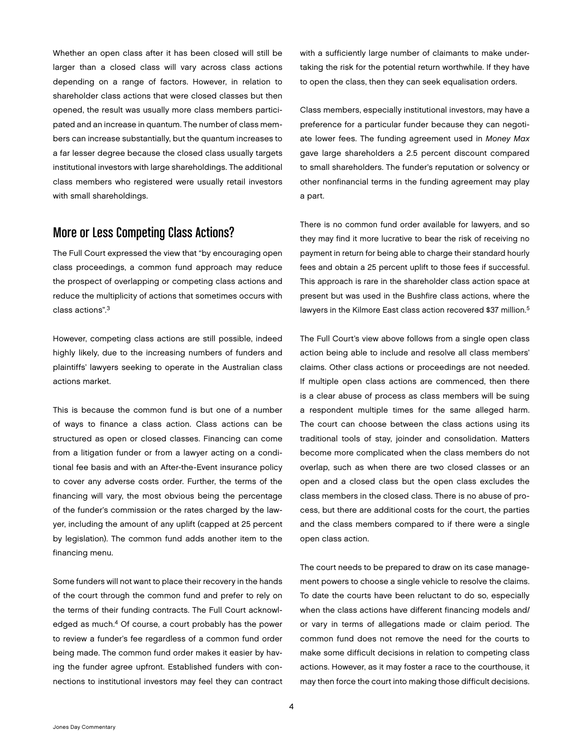Whether an open class after it has been closed will still be larger than a closed class will vary across class actions depending on a range of factors. However, in relation to shareholder class actions that were closed classes but then opened, the result was usually more class members participated and an increase in quantum. The number of class members can increase substantially, but the quantum increases to a far lesser degree because the closed class usually targets institutional investors with large shareholdings. The additional class members who registered were usually retail investors with small shareholdings.

# More or Less Competing Class Actions?

The Full Court expressed the view that "by encouraging open class proceedings, a common fund approach may reduce the prospect of overlapping or competing class actions and reduce the multiplicity of actions that sometimes occurs with class actions".3

However, competing class actions are still possible, indeed highly likely, due to the increasing numbers of funders and plaintiffs' lawyers seeking to operate in the Australian class actions market.

This is because the common fund is but one of a number of ways to finance a class action. Class actions can be structured as open or closed classes. Financing can come from a litigation funder or from a lawyer acting on a conditional fee basis and with an After-the-Event insurance policy to cover any adverse costs order. Further, the terms of the financing will vary, the most obvious being the percentage of the funder's commission or the rates charged by the lawyer, including the amount of any uplift (capped at 25 percent by legislation). The common fund adds another item to the financing menu.

Some funders will not want to place their recovery in the hands of the court through the common fund and prefer to rely on the terms of their funding contracts. The Full Court acknowledged as much.<sup>4</sup> Of course, a court probably has the power to review a funder's fee regardless of a common fund order being made. The common fund order makes it easier by having the funder agree upfront. Established funders with connections to institutional investors may feel they can contract

with a sufficiently large number of claimants to make undertaking the risk for the potential return worthwhile. If they have to open the class, then they can seek equalisation orders.

Class members, especially institutional investors, may have a preference for a particular funder because they can negotiate lower fees. The funding agreement used in *Money Max* gave large shareholders a 2.5 percent discount compared to small shareholders. The funder's reputation or solvency or other nonfinancial terms in the funding agreement may play a part.

There is no common fund order available for lawyers, and so they may find it more lucrative to bear the risk of receiving no payment in return for being able to charge their standard hourly fees and obtain a 25 percent uplift to those fees if successful. This approach is rare in the shareholder class action space at present but was used in the Bushfire class actions, where the lawyers in the Kilmore East class action recovered \$37 million.<sup>5</sup>

The Full Court's view above follows from a single open class action being able to include and resolve all class members' claims. Other class actions or proceedings are not needed. If multiple open class actions are commenced, then there is a clear abuse of process as class members will be suing a respondent multiple times for the same alleged harm. The court can choose between the class actions using its traditional tools of stay, joinder and consolidation. Matters become more complicated when the class members do not overlap, such as when there are two closed classes or an open and a closed class but the open class excludes the class members in the closed class. There is no abuse of process, but there are additional costs for the court, the parties and the class members compared to if there were a single open class action.

The court needs to be prepared to draw on its case management powers to choose a single vehicle to resolve the claims. To date the courts have been reluctant to do so, especially when the class actions have different financing models and/ or vary in terms of allegations made or claim period. The common fund does not remove the need for the courts to make some difficult decisions in relation to competing class actions. However, as it may foster a race to the courthouse, it may then force the court into making those difficult decisions.